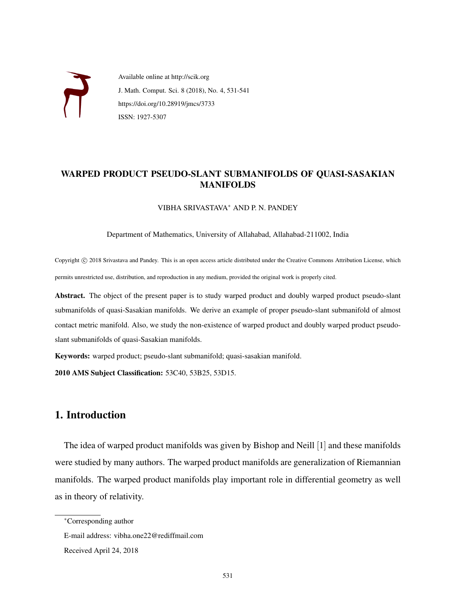

Available online at http://scik.org J. Math. Comput. Sci. 8 (2018), No. 4, 531-541 https://doi.org/10.28919/jmcs/3733 ISSN: 1927-5307

#### WARPED PRODUCT PSEUDO-SLANT SUBMANIFOLDS OF QUASI-SASAKIAN MANIFOLDS

VIBHA SRIVASTAVA<sup>∗</sup> AND P. N. PANDEY

Department of Mathematics, University of Allahabad, Allahabad-211002, India

Copyright © 2018 Srivastava and Pandey. This is an open access article distributed under the Creative Commons Attribution License, which permits unrestricted use, distribution, and reproduction in any medium, provided the original work is properly cited.

Abstract. The object of the present paper is to study warped product and doubly warped product pseudo-slant submanifolds of quasi-Sasakian manifolds. We derive an example of proper pseudo-slant submanifold of almost contact metric manifold. Also, we study the non-existence of warped product and doubly warped product pseudoslant submanifolds of quasi-Sasakian manifolds.

Keywords: warped product; pseudo-slant submanifold; quasi-sasakian manifold.

2010 AMS Subject Classification: 53C40, 53B25, 53D15.

# 1. Introduction

The idea of warped product manifolds was given by Bishop and Neill [1] and these manifolds were studied by many authors. The warped product manifolds are generalization of Riemannian manifolds. The warped product manifolds play important role in differential geometry as well as in theory of relativity.

<sup>∗</sup>Corresponding author

E-mail address: vibha.one22@rediffmail.com

Received April 24, 2018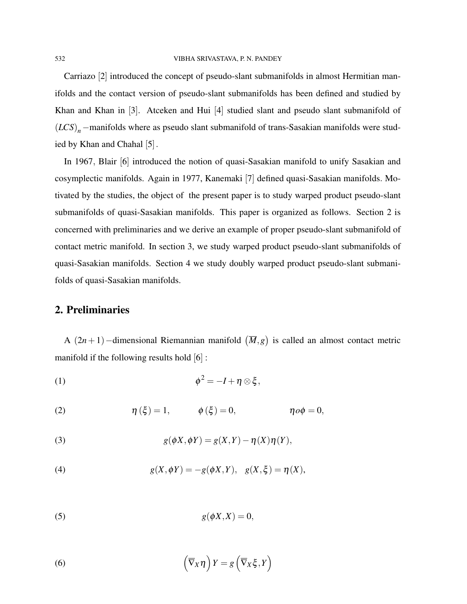Carriazo [2] introduced the concept of pseudo-slant submanifolds in almost Hermitian manifolds and the contact version of pseudo-slant submanifolds has been defined and studied by Khan and Khan in [3]. Atceken and Hui [4] studied slant and pseudo slant submanifold of (*LCS*)*n*−manifolds where as pseudo slant submanifold of trans-Sasakian manifolds were studied by Khan and Chahal [5].

In 1967, Blair [6] introduced the notion of quasi-Sasakian manifold to unify Sasakian and cosymplectic manifolds. Again in 1977, Kanemaki [7] defined quasi-Sasakian manifolds. Motivated by the studies, the object of the present paper is to study warped product pseudo-slant submanifolds of quasi-Sasakian manifolds. This paper is organized as follows. Section 2 is concerned with preliminaries and we derive an example of proper pseudo-slant submanifold of contact metric manifold. In section 3, we study warped product pseudo-slant submanifolds of quasi-Sasakian manifolds. Section 4 we study doubly warped product pseudo-slant submanifolds of quasi-Sasakian manifolds.

# 2. Preliminaries

A  $(2n+1)$  –dimensional Riemannian manifold  $(\overline{M},g)$  is called an almost contact metric manifold if the following results hold [6] :

(1) 
$$
\phi^2 = -I + \eta \otimes \xi,
$$

(2) 
$$
\eta(\xi) = 1, \qquad \phi(\xi) = 0, \qquad \eta o \phi = 0,
$$

(3) 
$$
g(\phi X, \phi Y) = g(X, Y) - \eta(X)\eta(Y),
$$

(4) 
$$
g(X, \phi Y) = -g(\phi X, Y), \quad g(X, \xi) = \eta(X),
$$

$$
(5) \t\t g(\phi X, X) = 0,
$$

(6) 
$$
\left(\overline{\nabla}_X \eta\right) Y = g\left(\overline{\nabla}_X \xi, Y\right)
$$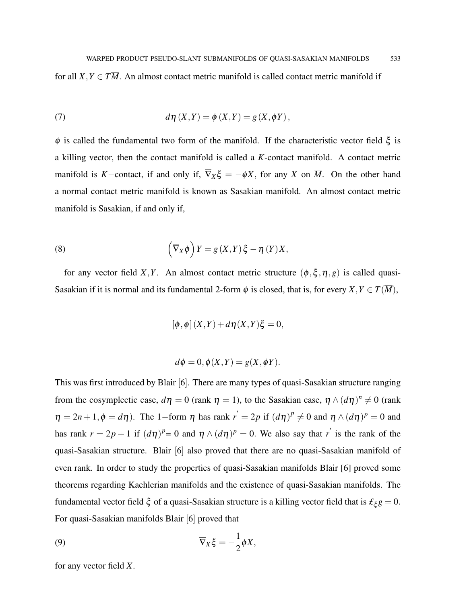for all  $X, Y \in T\overline{M}$ . An almost contact metric manifold is called contact metric manifold if

(7) 
$$
d\eta(X,Y) = \phi(X,Y) = g(X,\phi Y),
$$

 $φ$  is called the fundamental two form of the manifold. If the characteristic vector field  $ξ$  is a killing vector, then the contact manifold is called a *K*-contact manifold. A contact metric manifold is *K*−contact, if and only if,  $\overline{\nabla}_X \xi = -\phi X$ , for any *X* on  $\overline{M}$ . On the other hand a normal contact metric manifold is known as Sasakian manifold. An almost contact metric manifold is Sasakian, if and only if,

(8) 
$$
\left(\overline{\nabla}_X \phi\right) Y = g(X, Y) \xi - \eta(Y) X,
$$

for any vector field *X*,*Y*. An almost contact metric structure  $(\phi, \xi, \eta, g)$  is called quasi-Sasakian if it is normal and its fundamental 2-form  $\phi$  is closed, that is, for every  $X, Y \in T(\overline{M})$ ,

$$
[\phi,\phi](X,Y) + d\eta(X,Y)\xi = 0,
$$

$$
d\phi = 0, \phi(X, Y) = g(X, \phi Y).
$$

This was first introduced by Blair [6]. There are many types of quasi-Sasakian structure ranging from the cosymplectic case,  $d\eta = 0$  (rank  $\eta = 1$ ), to the Sasakian case,  $\eta \wedge (d\eta)^n \neq 0$  (rank  $\eta = 2n + 1, \phi = d\eta$ ). The 1-form  $\eta$  has rank  $r' = 2p$  if  $(d\eta)^p \neq 0$  and  $\eta \wedge (d\eta)^p = 0$  and has rank  $r = 2p + 1$  if  $(d\eta)^p = 0$  and  $\eta \wedge (d\eta)^p = 0$ . We also say that *r*<sup>'</sup> is the rank of the quasi-Sasakian structure. Blair [6] also proved that there are no quasi-Sasakian manifold of even rank. In order to study the properties of quasi-Sasakian manifolds Blair [6] proved some theorems regarding Kaehlerian manifolds and the existence of quasi-Sasakian manifolds. The fundamental vector field  $\xi$  of a quasi-Sasakian structure is a killing vector field that is  $\mathcal{L}_{\xi} g = 0$ . For quasi-Sasakian manifolds Blair [6] proved that

(9) 
$$
\overline{\nabla}_X \xi = -\frac{1}{2} \phi X,
$$

for any vector field *X*.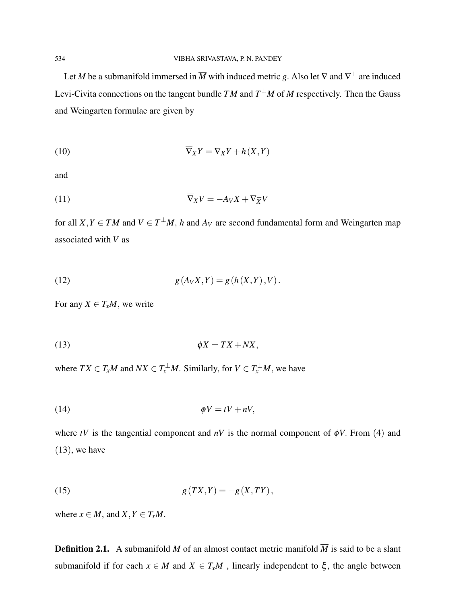Let *M* be a submanifold immersed in  $\overline{M}$  with induced metric *g*. Also let  $\nabla$  and  $\nabla^{\perp}$  are induced Levi-Civita connections on the tangent bundle  $TM$  and  $T^{\perp}M$  of M respectively. Then the Gauss and Weingarten formulae are given by

$$
\overline{\nabla}_X Y = \nabla_X Y + h(X, Y)
$$

and

$$
\overline{\nabla}_X V = -A_V X + \nabla_X^{\perp} V
$$

for all  $X, Y \in TM$  and  $V \in T^{\perp}M$ , *h* and  $A_V$  are second fundamental form and Weingarten map associated with *V* as

(12) 
$$
g(A_V X, Y) = g(h(X, Y), V).
$$

For any  $X \in T_xM$ , we write

$$
\phi X = TX + N X,
$$

where  $TX \in T_xM$  and  $NX \in T_x^{\perp}M$ . Similarly, for  $V \in T_x^{\perp}M$ , we have

$$
\phi V = tV + nV,
$$

where *tV* is the tangential component and  $nV$  is the normal component of  $\phi V$ . From (4) and  $(13)$ , we have

$$
g(TX,Y) = -g(X,TY),
$$

where  $x \in M$ , and  $X, Y \in T_xM$ .

**Definition 2.1.** A submanifold *M* of an almost contact metric manifold  $\overline{M}$  is said to be a slant submanifold if for each  $x \in M$  and  $X \in T_xM$ , linearly independent to  $\xi$ , the angle between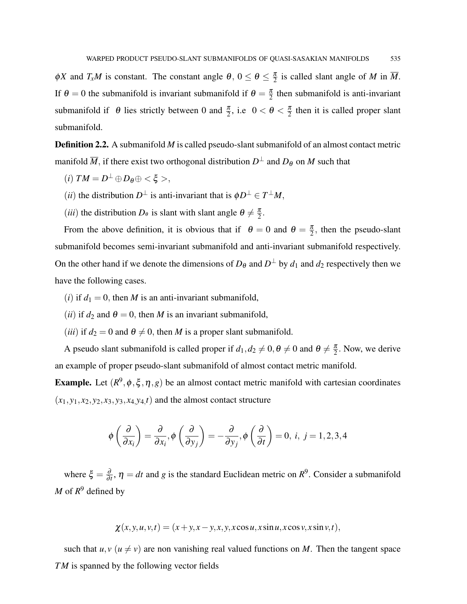$\phi X$  and  $T_xM$  is constant. The constant angle  $\theta$ ,  $0 \le \theta \le \frac{\pi}{2}$  $\frac{\pi}{2}$  is called slant angle of *M* in  $\overline{M}$ . If  $\theta = 0$  the submanifold is invariant submanifold if  $\theta = \frac{\pi}{2}$  $\frac{\pi}{2}$  then submanifold is anti-invariant submanifold if  $\theta$  lies strictly between 0 and  $\frac{\pi}{2}$ , i.e.  $0 < \theta < \frac{\pi}{2}$  $\frac{\pi}{2}$  then it is called proper slant submanifold.

**Definition 2.2.** A submanifold *M* is called pseudo-slant submanifold of an almost contact metric manifold  $\overline{M}$ , if there exist two orthogonal distribution  $D^\perp$  and  $D_\theta$  on  $M$  such that

- $(i) TM = D^{\perp} \oplus D_{\theta} \oplus \langle \xi \rangle,$
- (*ii*) the distribution  $D^{\perp}$  is anti-invariant that is  $\phi D^{\perp} \in T^{\perp}M$ ,
- (*iii*) the distribution  $D_{\theta}$  is slant with slant angle  $\theta \neq \frac{\pi}{2}$  $\frac{\pi}{2}$ .

From the above definition, it is obvious that if  $\theta = 0$  and  $\theta = \frac{\pi}{2}$  $\frac{\pi}{2}$ , then the pseudo-slant submanifold becomes semi-invariant submanifold and anti-invariant submanifold respectively. On the other hand if we denote the dimensions of  $D_{\theta}$  and  $D^{\perp}$  by  $d_1$  and  $d_2$  respectively then we have the following cases.

- (*i*) if  $d_1 = 0$ , then *M* is an anti-invariant submanifold,
- (*ii*) if  $d_2$  and  $\theta = 0$ , then *M* is an invariant submanifold,
- (*iii*) if  $d_2 = 0$  and  $\theta \neq 0$ , then *M* is a proper slant submanifold.

A pseudo slant submanifold is called proper if  $d_1, d_2 \neq 0, \theta \neq 0$  and  $\theta \neq \frac{\pi}{2}$  $\frac{\pi}{2}$ . Now, we derive an example of proper pseudo-slant submanifold of almost contact metric manifold.

**Example.** Let  $(R^9, \phi, \xi, \eta, g)$  be an almost contact metric manifold with cartesian coordinates  $(x_1, y_1, x_2, y_2, x_3, y_3, x_4, y_4, t)$  and the almost contact structure

$$
\phi\left(\frac{\partial}{\partial x_i}\right) = \frac{\partial}{\partial x_i}, \phi\left(\frac{\partial}{\partial y_j}\right) = -\frac{\partial}{\partial y_j}, \phi\left(\frac{\partial}{\partial t}\right) = 0, i, j = 1, 2, 3, 4
$$

where  $\xi = \frac{\partial}{\partial \xi}$  $\frac{\partial}{\partial t}$ ,  $\eta = dt$  and *g* is the standard Euclidean metric on  $R^9$ . Consider a submanifold *M* of  $R^9$  defined by

 $\chi(x, y, u, v, t) = (x + y, x - y, x, y, x \cos u, x \sin u, x \cos v, x \sin v, t),$ 

such that  $u, v \ (u \neq v)$  are non vanishing real valued functions on *M*. Then the tangent space *TM* is spanned by the following vector fields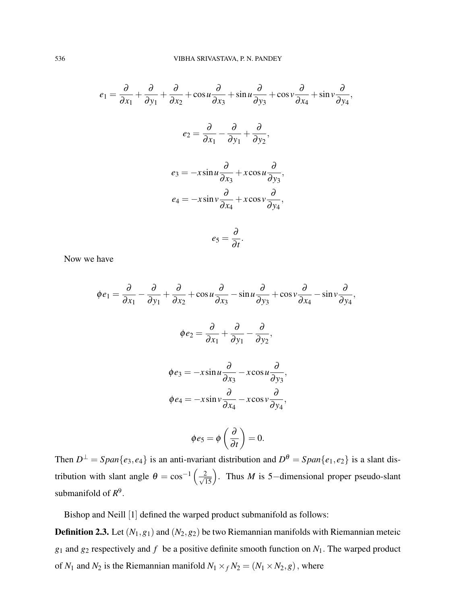$$
e_1 = \frac{\partial}{\partial x_1} + \frac{\partial}{\partial y_1} + \frac{\partial}{\partial x_2} + \cos u \frac{\partial}{\partial x_3} + \sin u \frac{\partial}{\partial y_3} + \cos v \frac{\partial}{\partial x_4} + \sin v \frac{\partial}{\partial y_4},
$$
  

$$
e_2 = \frac{\partial}{\partial x_1} - \frac{\partial}{\partial y_1} + \frac{\partial}{\partial y_2},
$$
  

$$
e_3 = -x \sin u \frac{\partial}{\partial x_3} + x \cos u \frac{\partial}{\partial y_3},
$$
  

$$
e_4 = -x \sin v \frac{\partial}{\partial x_4} + x \cos v \frac{\partial}{\partial y_4},
$$
  

$$
e_5 = \frac{\partial}{\partial t}.
$$

Now we have

$$
\phi e_1 = \frac{\partial}{\partial x_1} - \frac{\partial}{\partial y_1} + \frac{\partial}{\partial x_2} + \cos u \frac{\partial}{\partial x_3} - \sin u \frac{\partial}{\partial y_3} + \cos v \frac{\partial}{\partial x_4} - \sin v \frac{\partial}{\partial y_4},
$$
  

$$
\phi e_2 = \frac{\partial}{\partial x_1} + \frac{\partial}{\partial y_1} - \frac{\partial}{\partial y_2},
$$
  

$$
\phi e_3 = -x \sin u \frac{\partial}{\partial x_3} - x \cos u \frac{\partial}{\partial y_3},
$$
  

$$
\phi e_4 = -x \sin v \frac{\partial}{\partial x_4} - x \cos v \frac{\partial}{\partial y_4},
$$
  

$$
\phi e_5 = \phi \left( \frac{\partial}{\partial x} \right) = 0.
$$

Then  $D^{\perp} = Span\{e_3, e_4\}$  is an anti-nvariant distribution and  $D^{\theta} = Span\{e_1, e_2\}$  is a slant distribution with slant angle  $\theta = \cos^{-1}\left(\frac{2}{\sqrt{15}}\right)$ . Thus *M* is 5-dimensional proper pseudo-slant submanifold of  $R^9$ .

∂*t*

Bishop and Neill [1] defined the warped product submanifold as follows:

**Definition 2.3.** Let  $(N_1, g_1)$  and  $(N_2, g_2)$  be two Riemannian manifolds with Riemannian meteic  $g_1$  and  $g_2$  respectively and  $f$  be a positive definite smooth function on  $N_1$ . The warped product of  $N_1$  and  $N_2$  is the Riemannian manifold  $N_1 \times_f N_2 = (N_1 \times N_2, g)$ , where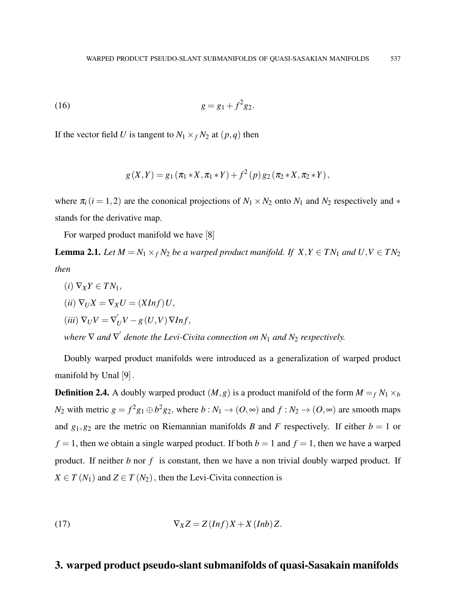(16) 
$$
g = g_1 + f^2 g_2.
$$

If the vector field *U* is tangent to  $N_1 \times_f N_2$  at  $(p, q)$  then

$$
g(X,Y) = g_1(\pi_1 * X, \pi_1 * Y) + f^2(p) g_2(\pi_2 * X, \pi_2 * Y),
$$

where  $\pi_i$  (*i* = 1, 2) are the cononical projections of  $N_1 \times N_2$  onto  $N_1$  and  $N_2$  respectively and  $*$ stands for the derivative map.

For warped product manifold we have [8]

**Lemma 2.1.** *Let*  $M = N_1 \times_f N_2$  *be a warped product manifold. If*  $X, Y \in TN_1$  *and*  $U, V \in TN_2$ *then*

\n- (i) 
$$
\nabla_X Y \in TN_1
$$
,
\n- (ii)  $\nabla_U X = \nabla_X U = (XInf)U$ ,
\n- (iii)  $\nabla_U V = \nabla'_U V - g(U, V) \nabla Inf$ ,
\n- where  $\nabla$  and  $\nabla'$  denote the Levi-Civita connection on  $N_1$  and  $N_2$  respectively.
\n

Doubly warped product manifolds were introduced as a generalization of warped product manifold by Unal [9].

**Definition 2.4.** A doubly warped product  $(M, g)$  is a product manifold of the form  $M = f N_1 \times b$ *N*<sub>2</sub> with metric  $g = f^2g_1 \oplus b^2g_2$ , where  $b: N_1 \to (O, \infty)$  and  $f: N_2 \to (O, \infty)$  are smooth maps and  $g_1, g_2$  are the metric on Riemannian manifolds *B* and *F* respectively. If either  $b = 1$  or  $f = 1$ , then we obtain a single warped product. If both  $b = 1$  and  $f = 1$ , then we have a warped product. If neither *b* nor *f* is constant, then we have a non trivial doubly warped product. If  $X \in T(N_1)$  and  $Z \in T(N_2)$ , then the Levi-Civita connection is

(17) 
$$
\nabla_X Z = Z(Inf)X + X(Info)Z.
$$

# 3. warped product pseudo-slant submanifolds of quasi-Sasakain manifolds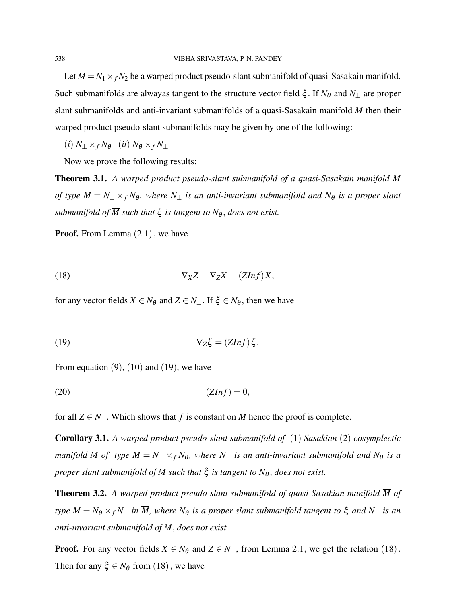Let  $M = N_1 \times_f N_2$  be a warped product pseudo-slant submanifold of quasi-Sasakain manifold. Such submanifolds are alwayas tangent to the structure vector field ξ . If *N*<sup>θ</sup> and *N*<sup>⊥</sup> are proper slant submanifolds and anti-invariant submanifolds of a quasi-Sasakain manifold  $\overline{M}$  then their warped product pseudo-slant submanifolds may be given by one of the following:

 $(i) N_{\perp} \times_f N_{\theta}$   $(ii) N_{\theta} \times_f N_{\perp}$ 

Now we prove the following results;

Theorem 3.1. *A warped product pseudo-slant submanifold of a quasi-Sasakain manifold M of type*  $M = N_{\perp} \times_f N_{\theta}$ *, where*  $N_{\perp}$  *is an anti-invariant submanifold and*  $N_{\theta}$  *is a proper slant submanifold of*  $\overline{M}$  *such that*  $\xi$  *is tangent to*  $N_{\theta}$ *, does not exist.* 

**Proof.** From Lemma  $(2.1)$ , we have

$$
\nabla_X Z = \nabla_Z X = (ZInf)X,
$$

for any vector fields  $X \in N_{\theta}$  and  $Z \in N_{\perp}$ . If  $\xi \in N_{\theta}$ , then we have

(19) 
$$
\nabla_Z \xi = (ZInf) \xi.
$$

From equation  $(9)$ ,  $(10)$  and  $(19)$ , we have

$$
(20)\t\t (ZInf) = 0,
$$

for all  $Z \in N_\perp$ . Which shows that *f* is constant on *M* hence the proof is complete.

Corollary 3.1. *A warped product pseudo-slant submanifold of* (1) *Sasakian* (2) *cosymplectic manifold*  $\overline{M}$  *of type*  $M = N_{\perp} \times_f N_{\theta}$ *, where*  $N_{\perp}$  *is an anti-invariant submanifold and*  $N_{\theta}$  *is a proper slant submanifold of*  $\overline{M}$  *such that*  $\xi$  *is tangent to*  $N_{\theta}$ *, does not exist.* 

**Theorem 3.2.** A warped product pseudo-slant submanifold of quasi-Sasakian manifold  $\overline{M}$  of *type*  $M = N_{\theta} \times_f N_{\perp}$  *in*  $\overline{M}$ *, where*  $N_{\theta}$  *is a proper slant submanifold tangent to*  $\xi$  *and*  $N_{\perp}$  *is an anti-invariant submanifold of M*, *does not exist.*

**Proof.** For any vector fields  $X \in N_{\theta}$  and  $Z \in N_{\perp}$ , from Lemma 2.1, we get the relation (18). Then for any  $\xi \in N_\theta$  from (18), we have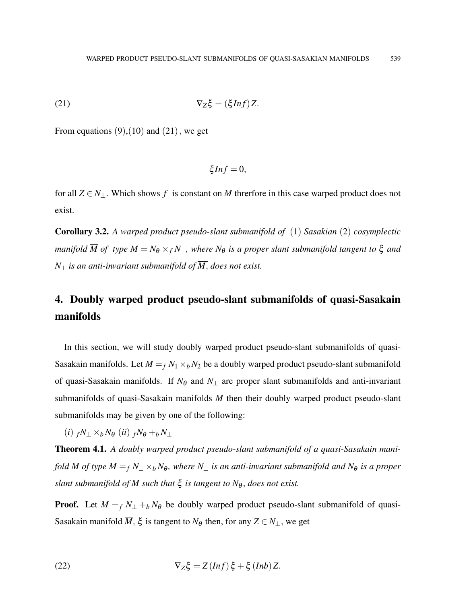$$
\nabla_Z \xi = (\xi \text{Inf}) Z.
$$

From equations  $(9)$ ,  $(10)$  and  $(21)$ , we get

$$
\xi Inf=0,
$$

for all  $Z \in N_1$ . Which shows f is constant on M threrfore in this case warped product does not exist.

Corollary 3.2. *A warped product pseudo-slant submanifold of* (1) *Sasakian* (2) *cosymplectic manifold*  $\overline{M}$  *of type*  $M = N_{\theta} \times_f N_{\perp}$ *, where*  $N_{\theta}$  *is a proper slant submanifold tangent to*  $\xi$  *and N*<sup>⊥</sup> *is an anti-invariant submanifold of M*, *does not exist.*

# 4. Doubly warped product pseudo-slant submanifolds of quasi-Sasakain manifolds

In this section, we will study doubly warped product pseudo-slant submanifolds of quasi-Sasakain manifolds. Let  $M = f N_1 \times_b N_2$  be a doubly warped product pseudo-slant submanifold of quasi-Sasakain manifolds. If  $N_{\theta}$  and  $N_{\perp}$  are proper slant submanifolds and anti-invariant submanifolds of quasi-Sasakain manifolds  $\overline{M}$  then their doubly warped product pseudo-slant submanifolds may be given by one of the following:

 $(i)$   $fN_{\perp} \times_b N_{\theta}$   $(ii)$   $fN_{\theta} + bN_{\perp}$ 

Theorem 4.1. *A doubly warped product pseudo-slant submanifold of a quasi-Sasakain manifold*  $\overline{M}$  *of type*  $M = f N_+ \times_b N_\theta$ , where  $N_+$  *is an anti-invariant submanifold and*  $N_\theta$  *is a proper slant submanifold of*  $\overline{M}$  *such that*  $\xi$  *is tangent to*  $N_{\theta}$ *, does not exist.* 

**Proof.** Let  $M = f N_+ + b N_0$  be doubly warped product pseudo-slant submanifold of quasi-Sasakain manifold  $\overline{M}$ ,  $\xi$  is tangent to  $N_{\theta}$  then, for any  $Z \in N_{\perp}$ , we get

(22) 
$$
\nabla_Z \xi = Z(Inf) \xi + \xi(Int) Z.
$$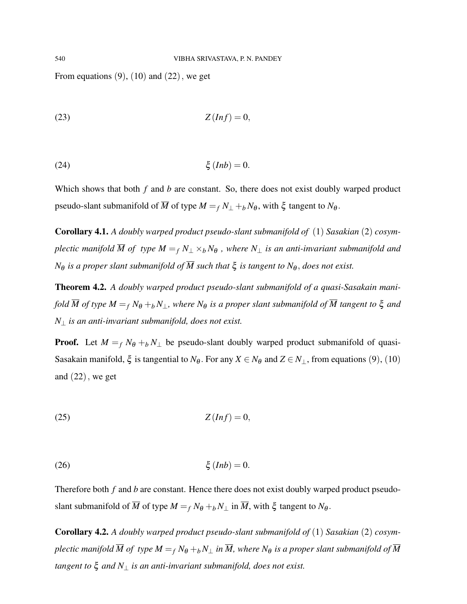From equations  $(9)$ ,  $(10)$  and  $(22)$ , we get

$$
Z(Inf) = 0,
$$

(24) ξ (*Inb*) = 0.

Which shows that both *f* and *b* are constant. So, there does not exist doubly warped product pseudo-slant submanifold of  $\overline{M}$  of type  $M = f N_{\perp} + f N_{\theta}$ , with  $\xi$  tangent to  $N_{\theta}$ .

Corollary 4.1. *A doubly warped product pseudo-slant submanifold of* (1) *Sasakian* (2) *cosymplectic manifold*  $\overline{M}$  *of type*  $M = f N_1 \times b N_0$ , where  $N_1$  *is an anti-invariant submanifold and N* $_{\theta}$  *is a proper slant submanifold of*  $\overline{M}$  *such that*  $\xi$  *is tangent to*  $N_{\theta}$ *, does not exist.* 

Theorem 4.2. *A doubly warped product pseudo-slant submanifold of a quasi-Sasakain manifold*  $\overline{M}$  *of type*  $M = f N_{\theta} + f N_{\perp}$ , where  $N_{\theta}$  *is a proper slant submanifold of*  $\overline{M}$  *tangent to*  $\xi$  *and N*<sup>⊥</sup> *is an anti-invariant submanifold, does not exist.*

**Proof.** Let  $M = f N_{\theta} + b N_{\perp}$  be pseudo-slant doubly warped product submanifold of quasi-Sasakain manifold,  $\xi$  is tangential to  $N_{\theta}$ . For any  $X \in N_{\theta}$  and  $Z \in N_{\perp}$ , from equations (9), (10) and  $(22)$ , we get

$$
Z(Inf) = 0,
$$

$$
(26) \t\t\t \xi (Inb) = 0.
$$

Therefore both *f* and *b* are constant. Hence there does not exist doubly warped product pseudoslant submanifold of  $\overline{M}$  of type  $M = f N_{\theta} + b N_{\perp}$  in  $\overline{M}$ , with  $\xi$  tangent to  $N_{\theta}$ .

Corollary 4.2. *A doubly warped product pseudo-slant submanifold of* (1) *Sasakian* (2) *cosymplectic manifold*  $\overline{M}$  *of type*  $M = f N_{\theta} + f N_{\perp}$  *in*  $\overline{M}$ *, where*  $N_{\theta}$  *is a proper slant submanifold of*  $\overline{M}$ *tangent to* ξ *and N*<sup>⊥</sup> *is an anti-invariant submanifold, does not exist.*